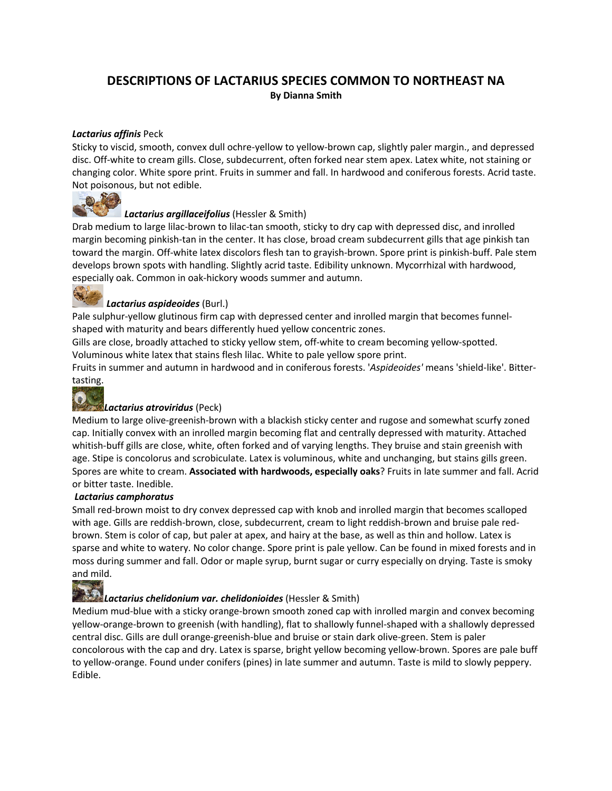#### **DESCRIPTIONS OF LACTARIUS SPECIES COMMON TO NORTHEAST NA By Dianna Smith**

#### *Lactarius affinis* Peck

Sticky to viscid, smooth, convex dull ochre-yellow to yellow-brown cap, slightly paler margin., and depressed disc. Off-white to cream gills. Close, subdecurrent, often forked near stem apex. Latex white, not staining or changing color. White spore print. Fruits in summer and fall. In hardwood and coniferous forests. Acrid taste. Not poisonous, but not edible.



#### *Lactarius argillaceifolius* (Hessler & Smith)

Drab medium to large lilac-brown to lilac-tan smooth, sticky to dry cap with depressed disc, and inrolled margin becoming pinkish-tan in the center. It has close, broad cream subdecurrent gills that age pinkish tan toward the margin. Off-white latex discolors flesh tan to grayish-brown. Spore print is pinkish-buff. Pale stem develops brown spots with handling. Slightly acrid taste. Edibility unknown. Mycorrhizal with hardwood, especially oak. Common in oak-hickory woods summer and autumn.



#### *Lactarius aspideoides* (Burl.)

Pale sulphur-yellow glutinous firm cap with depressed center and inrolled margin that becomes funnelshaped with maturity and bears differently hued yellow concentric zones.

Gills are close, broadly attached to sticky yellow stem, off-white to cream becoming yellow-spotted. Voluminous white latex that stains flesh lilac. White to pale yellow spore print.

Fruits in summer and autumn in hardwood and in coniferous forests. '*Aspideoides'* means 'shield-like'. Bittertasting.

#### 3 *Lactarius atroviridus* (Peck)

Medium to large olive-greenish-brown with a blackish sticky center and rugose and somewhat scurfy zoned cap. Initially convex with an inrolled margin becoming flat and centrally depressed with maturity. Attached whitish-buff gills are close, white, often forked and of varying lengths. They bruise and stain greenish with age. Stipe is concolorus and scrobiculate. Latex is voluminous, white and unchanging, but stains gills green. Spores are white to cream. **Associated with hardwoods, especially oaks**? Fruits in late summer and fall. Acrid or bitter taste. Inedible.

#### *Lactarius camphoratus*

Small red-brown moist to dry convex depressed cap with knob and inrolled margin that becomes scalloped with age. Gills are reddish-brown, close, subdecurrent, cream to light reddish-brown and bruise pale redbrown. Stem is color of cap, but paler at apex, and hairy at the base, as well as thin and hollow. Latex is sparse and white to watery. No color change. Spore print is pale yellow. Can be found in mixed forests and in moss during summer and fall. Odor or maple syrup, burnt sugar or curry especially on drying. Taste is smoky and mild.



#### *Lactarius chelidonium var. chelidonioides* (Hessler & Smith)

Medium mud-blue with a sticky orange-brown smooth zoned cap with inrolled margin and convex becoming yellow-orange-brown to greenish (with handling), flat to shallowly funnel-shaped with a shallowly depressed central disc. Gills are dull orange-greenish-blue and bruise or stain dark olive-green. Stem is paler concolorous with the cap and dry. Latex is sparse, bright yellow becoming yellow-brown. Spores are pale buff to yellow-orange. Found under conifers (pines) in late summer and autumn. Taste is mild to slowly peppery. Edible.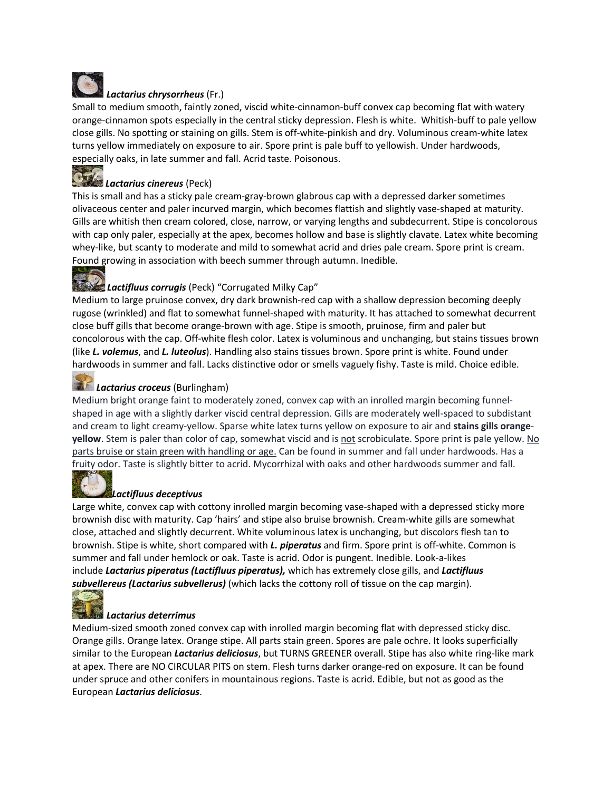

#### *Lactarius chrysorrheus* (Fr.)

Small to medium smooth, faintly zoned, viscid white-cinnamon-buff convex cap becoming flat with watery orange-cinnamon spots especially in the central sticky depression. Flesh is white. Whitish-buff to pale yellow close gills. No spotting or staining on gills. Stem is off-white-pinkish and dry. Voluminous cream-white latex turns yellow immediately on exposure to air. Spore print is pale buff to yellowish. Under hardwoods, especially oaks, in late summer and fall. Acrid taste. Poisonous.

## *Lactarius cinereus* (Peck)

This is small and has a sticky pale cream-gray-brown glabrous cap with a depressed darker sometimes olivaceous center and paler incurved margin, which becomes flattish and slightly vase-shaped at maturity. Gills are whitish then cream colored, close, narrow, or varying lengths and subdecurrent. Stipe is concolorous with cap only paler, especially at the apex, becomes hollow and base is slightly clavate. Latex white becoming whey-like, but scanty to moderate and mild to somewhat acrid and dries pale cream. Spore print is cream. Found growing in association with beech summer through autumn. Inedible.

### *Lactifluus corrugis* (Peck) "Corrugated Milky Cap"

Medium to large pruinose convex, dry dark brownish-red cap with a shallow depression becoming deeply rugose (wrinkled) and flat to somewhat funnel-shaped with maturity. It has attached to somewhat decurrent close buff gills that become orange-brown with age. Stipe is smooth, pruinose, firm and paler but concolorous with the cap. Off-white flesh color. Latex is voluminous and unchanging, but stains tissues brown (like *L. volemus*, and *L. luteolus*). Handling also stains tissues brown. Spore print is white. Found under hardwoods in summer and fall. Lacks distinctive odor or smells vaguely fishy. Taste is mild. Choice edible.

#### *Lactarius croceus* (Burlingham)

Medium bright orange faint to moderately zoned, convex cap with an inrolled margin becoming funnelshaped in age with a slightly darker viscid central depression. Gills are moderately well-spaced to subdistant and cream to light creamy-yellow. Sparse white latex turns yellow on exposure to air and **stains gills orangeyellow**. Stem is paler than color of cap, somewhat viscid and is not scrobiculate. Spore print is pale yellow. No parts bruise or stain green with handling or age. Can be found in summer and fall under hardwoods. Has a fruity odor. Taste is slightly bitter to acrid. Mycorrhizal with oaks and other hardwoods summer and fall.

#### *Lactifluus deceptivus*

Large white, convex cap with cottony inrolled margin becoming vase-shaped with a depressed sticky more brownish disc with maturity. Cap 'hairs' and stipe also bruise brownish. Cream-white gills are somewhat close, attached and slightly decurrent. White voluminous latex is unchanging, but discolors flesh tan to brownish. Stipe is white, short compared with *L. piperatus* and firm. Spore print is off-white. Common is summer and fall under hemlock or oak. Taste is acrid. Odor is pungent. Inedible. Look-a-likes include *Lactarius piperatus (Lactifluus piperatus),* which has extremely close gills, and *Lactifluus subvellereus (Lactarius subvellerus)* (which lacks the cottony roll of tissue on the cap margin).



#### *Lactarius deterrimus*

Medium-sized smooth zoned convex cap with inrolled margin becoming flat with depressed sticky disc. Orange gills. Orange latex. Orange stipe. All parts stain green. Spores are pale ochre. It looks superficially similar to the European *Lactarius deliciosus*, but TURNS GREENER overall. Stipe has also white ring-like mark at apex. There are NO CIRCULAR PITS on stem. Flesh turns darker orange-red on exposure. It can be found under spruce and other conifers in mountainous regions. Taste is acrid. Edible, but not as good as the European *Lactarius deliciosus*.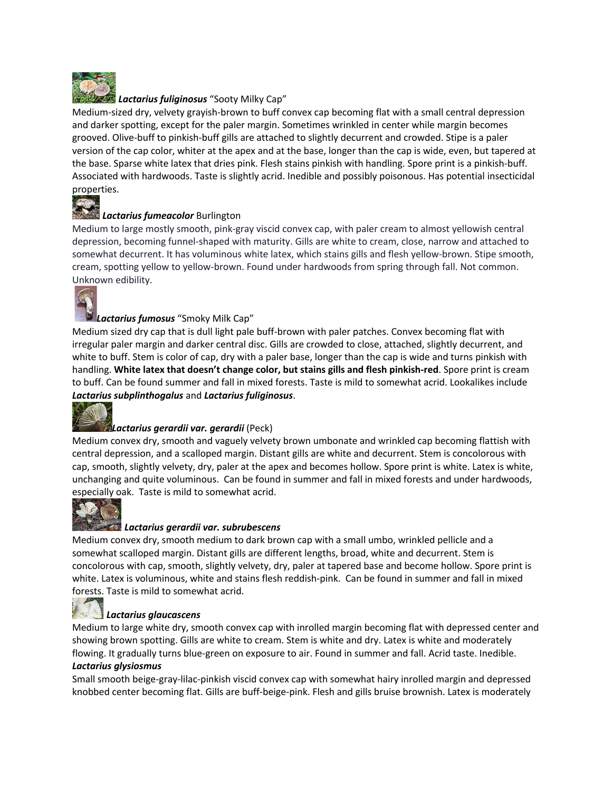

#### *Lactarius fuliginosus* "Sooty Milky Cap"

Medium-sized dry, velvety grayish-brown to buff convex cap becoming flat with a small central depression and darker spotting, except for the paler margin. Sometimes wrinkled in center while margin becomes grooved. Olive-buff to pinkish-buff gills are attached to slightly decurrent and crowded. Stipe is a paler version of the cap color, whiter at the apex and at the base, longer than the cap is wide, even, but tapered at the base. Sparse white latex that dries pink. Flesh stains pinkish with handling. Spore print is a pinkish-buff. Associated with hardwoods. Taste is slightly acrid. Inedible and possibly poisonous. Has potential insecticidal properties.



#### *Lactarius fumeacolor* Burlington

Medium to large mostly smooth, pink-gray viscid convex cap, with paler cream to almost yellowish central depression, becoming funnel-shaped with maturity. Gills are white to cream, close, narrow and attached to somewhat decurrent. It has voluminous white latex, which stains gills and flesh yellow-brown. Stipe smooth, cream, spotting yellow to yellow-brown. Found under hardwoods from spring through fall. Not common. Unknown edibility.



#### *Lactarius fumosus* "Smoky Milk Cap"

Medium sized dry cap that is dull light pale buff-brown with paler patches. Convex becoming flat with irregular paler margin and darker central disc. Gills are crowded to close, attached, slightly decurrent, and white to buff. Stem is color of cap, dry with a paler base, longer than the cap is wide and turns pinkish with handling. **White latex that doesn't change color, but stains gills and flesh pinkish-red**. Spore print is cream to buff. Can be found summer and fall in mixed forests. Taste is mild to somewhat acrid. Lookalikes include *Lactarius subplinthogalus* and *Lactarius fuliginosus*.



#### *Lactarius gerardii var. gerardii* (Peck)

Medium convex dry, smooth and vaguely velvety brown umbonate and wrinkled cap becoming flattish with central depression, and a scalloped margin. Distant gills are white and decurrent. Stem is concolorous with cap, smooth, slightly velvety, dry, paler at the apex and becomes hollow. Spore print is white. Latex is white, unchanging and quite voluminous. Can be found in summer and fall in mixed forests and under hardwoods, especially oak. Taste is mild to somewhat acrid.



#### *Lactarius gerardii var. subrubescens*

Medium convex dry, smooth medium to dark brown cap with a small umbo, wrinkled pellicle and a somewhat scalloped margin. Distant gills are different lengths, broad, white and decurrent. Stem is concolorous with cap, smooth, slightly velvety, dry, paler at tapered base and become hollow. Spore print is white. Latex is voluminous, white and stains flesh reddish-pink. Can be found in summer and fall in mixed forests. Taste is mild to somewhat acrid.

#### *Lactarius glaucascens*

Medium to large white dry, smooth convex cap with inrolled margin becoming flat with depressed center and showing brown spotting. Gills are white to cream. Stem is white and dry. Latex is white and moderately flowing. It gradually turns blue-green on exposure to air. Found in summer and fall. Acrid taste. Inedible.

#### *Lactarius glysiosmus*

Small smooth beige-gray-lilac-pinkish viscid convex cap with somewhat hairy inrolled margin and depressed knobbed center becoming flat. Gills are buff-beige-pink. Flesh and gills bruise brownish. Latex is moderately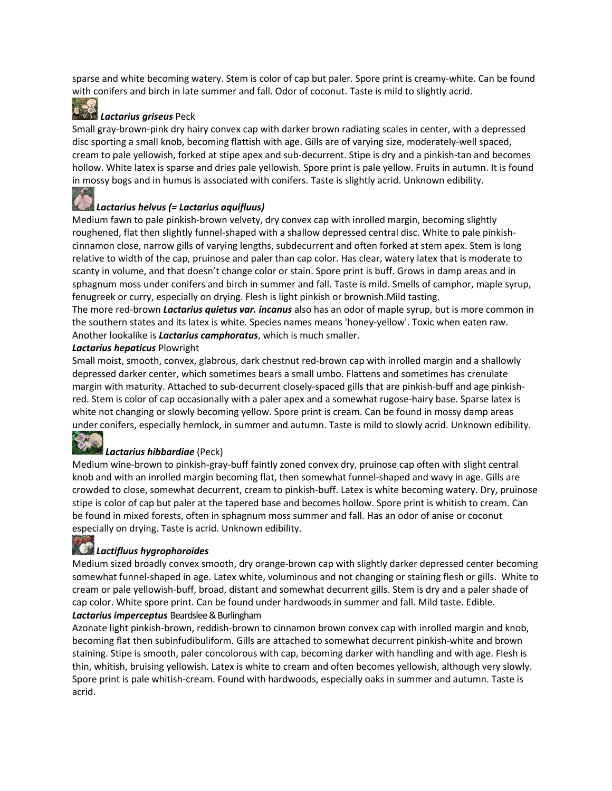sparse and white becoming watery. Stem is color of cap but paler. Spore print is creamy-white. Can be found with conifers and birch in late summer and fall. Odor of coconut. Taste is mild to slightly acrid.

#### *Lactarius griseus* Peck

Small gray-brown-pink dry hairy convex cap with darker brown radiating scales in center, with a depressed disc sporting a small knob, becoming flattish with age. Gills are of varying size, moderately-well spaced, cream to pale yellowish, forked at stipe apex and sub-decurrent. Stipe is dry and a pinkish-tan and becomes hollow. White latex is sparse and dries pale yellowish. Spore print is pale yellow. Fruits in autumn. It is found in mossy bogs and in humus is associated with conifers. Taste is slightly acrid. Unknown edibility.

## *Lactarius helvus (= Lactarius aquifluus)*

Medium fawn to pale pinkish-brown velvety, dry convex cap with inrolled margin, becoming slightly roughened, flat then slightly funnel-shaped with a shallow depressed central disc. White to pale pinkishcinnamon close, narrow gills of varying lengths, subdecurrent and often forked at stem apex. Stem is long relative to width of the cap, pruinose and paler than cap color. Has clear, watery latex that is moderate to scanty in volume, and that doesn't change color or stain. Spore print is buff. Grows in damp areas and in sphagnum moss under conifers and birch in summer and fall. Taste is mild. Smells of camphor, maple syrup, fenugreek or curry, especially on drying. Flesh is light pinkish or brownish.Mild tasting.

The more red-brown *Lactarius quietus var. incanus* also has an odor of maple syrup, but is more common in the southern states and its latex is white. Species names means 'honey-yellow'. Toxic when eaten raw. Another lookalike is *Lactarius camphoratus*, which is much smaller.

#### *Lactarius hepaticus* Plowright

Small moist, smooth, convex, glabrous, dark chestnut red-brown cap with inrolled margin and a shallowly depressed darker center, which sometimes bears a small umbo. Flattens and sometimes has crenulate margin with maturity. Attached to sub-decurrent closely-spaced gills that are pinkish-buff and age pinkishred. Stem is color of cap occasionally with a paler apex and a somewhat rugose-hairy base. Sparse latex is white not changing or slowly becoming yellow. Spore print is cream. Can be found in mossy damp areas under conifers, especially hemlock, in summer and autumn. Taste is mild to slowly acrid. Unknown edibility.



#### *Lactarius hibbardiae* (Peck)

Medium wine-brown to pinkish-gray-buff faintly zoned convex dry, pruinose cap often with slight central knob and with an inrolled margin becoming flat, then somewhat funnel-shaped and wavy in age. Gills are crowded to close, somewhat decurrent, cream to pinkish-buff. Latex is white becoming watery. Dry, pruinose stipe is color of cap but paler at the tapered base and becomes hollow. Spore print is whitish to cream. Can be found in mixed forests, often in sphagnum moss summer and fall. Has an odor of anise or coconut especially on drying. Taste is acrid. Unknown edibility.

#### *Lactifluus hygrophoroides*

Medium sized broadly convex smooth, dry orange-brown cap with slightly darker depressed center becoming somewhat funnel-shaped in age. Latex white, voluminous and not changing or staining flesh or gills. White to cream or pale yellowish-buff, broad, distant and somewhat decurrent gills. Stem is dry and a paler shade of cap color. White spore print. Can be found under hardwoods in summer and fall. Mild taste. Edible. *Lactarius imperceptus* Beardslee& Burlingham

Azonate light pinkish-brown, reddish-brown to cinnamon brown convex cap with inrolled margin and knob, becoming flat then subinfudibuliform. Gills are attached to somewhat decurrent pinkish-white and brown staining. Stipe is smooth, paler concolorous with cap, becoming darker with handling and with age. Flesh is thin, whitish, bruising yellowish. Latex is white to cream and often becomes yellowish, although very slowly. Spore print is pale whitish-cream. Found with hardwoods, especially oaks in summer and autumn. Taste is acrid.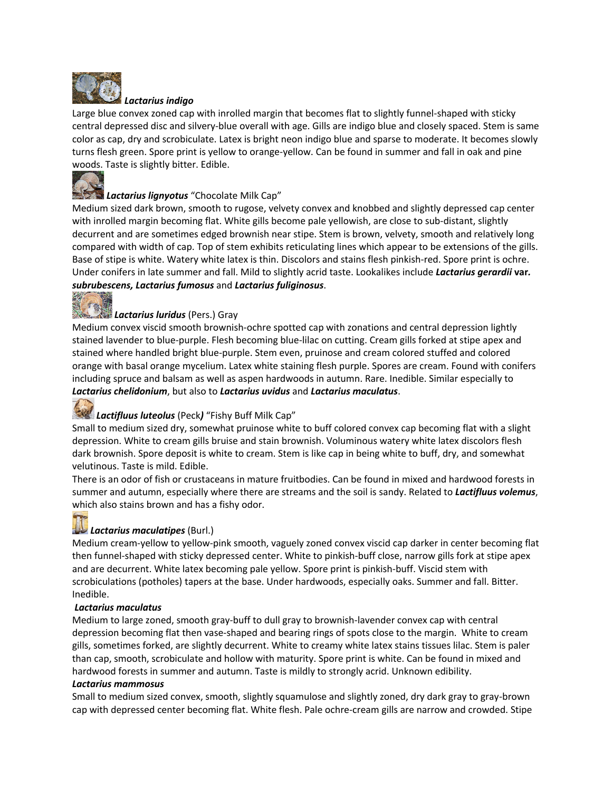

*Lactarius indigo* Large blue convex zoned cap with inrolled margin that becomes flat to slightly funnel-shaped with sticky central depressed disc and silvery-blue overall with age. Gills are indigo blue and closely spaced. Stem is same color as cap, dry and scrobiculate. Latex is bright neon indigo blue and sparse to moderate. It becomes slowly turns flesh green. Spore print is yellow to orange-yellow. Can be found in summer and fall in oak and pine woods. Taste is slightly bitter. Edible.



### *Lactarius lignyotus* "Chocolate Milk Cap"

Medium sized dark brown, smooth to rugose, velvety convex and knobbed and slightly depressed cap center with inrolled margin becoming flat. White gills become pale yellowish, are close to sub-distant, slightly decurrent and are sometimes edged brownish near stipe. Stem is brown, velvety, smooth and relatively long compared with width of cap. Top of stem exhibits reticulating lines which appear to be extensions of the gills. Base of stipe is white. Watery white latex is thin. Discolors and stains flesh pinkish-red. Spore print is ochre. Under conifers in late summer and fall. Mild to slightly acrid taste. Lookalikes include *Lactarius gerardii* **var***. subrubescens, Lactarius fumosus* and *Lactarius fuliginosus*.



## *Lactarius luridus* (Pers.) Gray

Medium convex viscid smooth brownish-ochre spotted cap with zonations and central depression lightly stained lavender to blue-purple. Flesh becoming blue-lilac on cutting. Cream gills forked at stipe apex and stained where handled bright blue-purple. Stem even, pruinose and cream colored stuffed and colored orange with basal orange mycelium. Latex white staining flesh purple. Spores are cream. Found with conifers including spruce and balsam as well as aspen hardwoods in autumn. Rare. Inedible. Similar especially to *Lactarius chelidonium*, but also to *Lactarius uvidus* and *Lactarius maculatus*.

## *Lactifluus luteolus* (Peck*)* "Fishy Buff Milk Cap"

Small to medium sized dry, somewhat pruinose white to buff colored convex cap becoming flat with a slight depression. White to cream gills bruise and stain brownish. Voluminous watery white latex discolors flesh dark brownish. Spore deposit is white to cream. Stem is like cap in being white to buff, dry, and somewhat velutinous. Taste is mild. Edible.

There is an odor of fish or crustaceans in mature fruitbodies. Can be found in mixed and hardwood forests in summer and autumn, especially where there are streams and the soil is sandy. Related to *Lactifluus volemus*, which also stains brown and has a fishy odor.

### *Lactarius maculatipes* (Burl.)

Medium cream-yellow to yellow-pink smooth, vaguely zoned convex viscid cap darker in center becoming flat then funnel-shaped with sticky depressed center. White to pinkish-buff close, narrow gills fork at stipe apex and are decurrent. White latex becoming pale yellow. Spore print is pinkish-buff. Viscid stem with scrobiculations (potholes) tapers at the base. Under hardwoods, especially oaks. Summer and fall. Bitter. Inedible.

#### *Lactarius maculatus*

Medium to large zoned, smooth gray-buff to dull gray to brownish-lavender convex cap with central depression becoming flat then vase-shaped and bearing rings of spots close to the margin. White to cream gills, sometimes forked, are slightly decurrent. White to creamy white latex stains tissues lilac. Stem is paler than cap, smooth, scrobiculate and hollow with maturity. Spore print is white. Can be found in mixed and hardwood forests in summer and autumn. Taste is mildly to strongly acrid. Unknown edibility.

#### *Lactarius mammosus*

Small to medium sized convex, smooth, slightly squamulose and slightly zoned, dry dark gray to gray-brown cap with depressed center becoming flat. White flesh. Pale ochre-cream gills are narrow and crowded. Stipe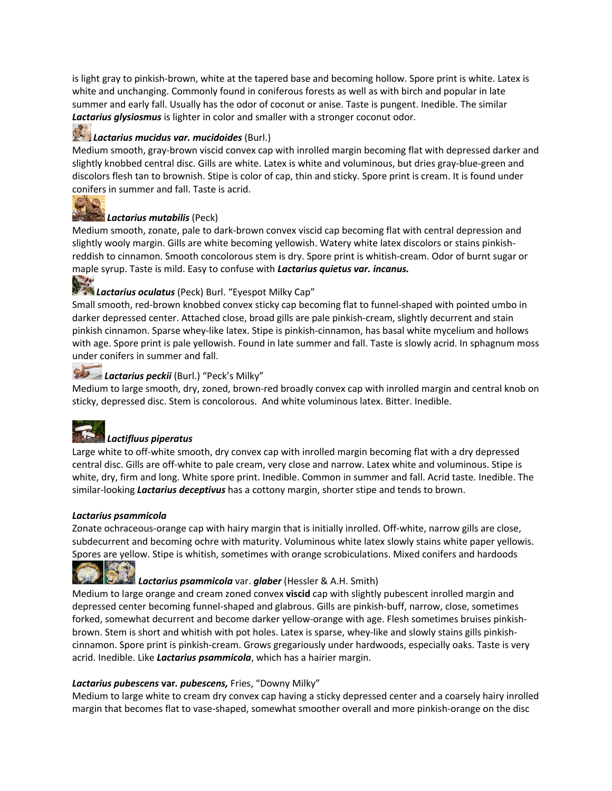is light gray to pinkish-brown, white at the tapered base and becoming hollow. Spore print is white. Latex is white and unchanging. Commonly found in coniferous forests as well as with birch and popular in late summer and early fall. Usually has the odor of coconut or anise. Taste is pungent. Inedible. The similar *Lactarius glysiosmus* is lighter in color and smaller with a stronger coconut odor.

#### *Lactarius mucidus var. mucidoides* (Burl.)

Medium smooth, gray-brown viscid convex cap with inrolled margin becoming flat with depressed darker and slightly knobbed central disc. Gills are white. Latex is white and voluminous, but dries gray-blue-green and discolors flesh tan to brownish. Stipe is color of cap, thin and sticky. Spore print is cream. It is found under conifers in summer and fall. Taste is acrid.



#### *Lactarius mutabilis* (Peck)

Medium smooth, zonate, pale to dark-brown convex viscid cap becoming flat with central depression and slightly wooly margin. Gills are white becoming yellowish. Watery white latex discolors or stains pinkishreddish to cinnamon. Smooth concolorous stem is dry. Spore print is whitish-cream. Odor of burnt sugar or maple syrup. Taste is mild. Easy to confuse with *Lactarius quietus var. incanus.*

# *Lactarius oculatus* (Peck) Burl. "Eyespot Milky Cap"

Small smooth, red-brown knobbed convex sticky cap becoming flat to funnel-shaped with pointed umbo in darker depressed center. Attached close, broad gills are pale pinkish-cream, slightly decurrent and stain pinkish cinnamon. Sparse whey-like latex. Stipe is pinkish-cinnamon, has basal white mycelium and hollows with age. Spore print is pale yellowish. Found in late summer and fall. Taste is slowly acrid. In sphagnum moss under conifers in summer and fall.

### *Lactarius peckii* (Burl.) "Peck's Milky"

Medium to large smooth, dry, zoned, brown-red broadly convex cap with inrolled margin and central knob on sticky, depressed disc. Stem is concolorous. And white voluminous latex. Bitter. Inedible.



#### *Lactifluus piperatus*

Large white to off-white smooth, dry convex cap with inrolled margin becoming flat with a dry depressed central disc. Gills are off-white to pale cream, very close and narrow. Latex white and voluminous. Stipe is white, dry, firm and long. White spore print. Inedible. Common in summer and fall. Acrid taste. Inedible. The similar-looking *Lactarius deceptivus* has a cottony margin, shorter stipe and tends to brown.

#### *Lactarius psammicola*

Zonate ochraceous-orange cap with hairy margin that is initially inrolled. Off-white, narrow gills are close, subdecurrent and becoming ochre with maturity. Voluminous white latex slowly stains white paper yellowis. Spores are yellow. Stipe is whitish, sometimes with orange scrobiculations. Mixed conifers and hardoods



#### *Lactarius psammicola* var. *glaber* (Hessler & A.H. Smith)

Medium to large orange and cream zoned convex **viscid** cap with slightly pubescent inrolled margin and depressed center becoming funnel-shaped and glabrous. Gills are pinkish-buff, narrow, close, sometimes forked, somewhat decurrent and become darker yellow-orange with age. Flesh sometimes bruises pinkishbrown. Stem is short and whitish with pot holes. Latex is sparse, whey-like and slowly stains gills pinkishcinnamon. Spore print is pinkish-cream. Grows gregariously under hardwoods, especially oaks. Taste is very acrid. Inedible. Like *Lactarius psammicola*, which has a hairier margin.

#### *Lactarius pubescens* **var***. pubescens,* Fries, "Downy Milky"

Medium to large white to cream dry convex cap having a sticky depressed center and a coarsely hairy inrolled margin that becomes flat to vase-shaped, somewhat smoother overall and more pinkish-orange on the disc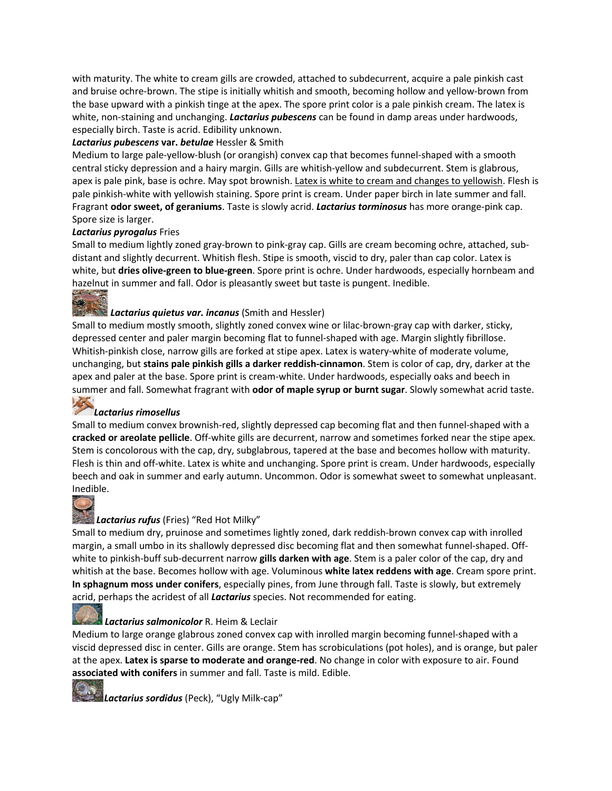with maturity. The white to cream gills are crowded, attached to subdecurrent, acquire a pale pinkish cast and bruise ochre-brown. The stipe is initially whitish and smooth, becoming hollow and yellow-brown from the base upward with a pinkish tinge at the apex. The spore print color is a pale pinkish cream. The latex is white, non-staining and unchanging. *Lactarius pubescens* can be found in damp areas under hardwoods, especially birch. Taste is acrid. Edibility unknown.

#### *Lactarius pubescens* **var.** *betulae* Hessler & Smith

Medium to large pale-yellow-blush (or orangish) convex cap that becomes funnel-shaped with a smooth central sticky depression and a hairy margin. Gills are whitish-yellow and subdecurrent. Stem is glabrous, apex is pale pink, base is ochre. May spot brownish. Latex is white to cream and changes to yellowish. Flesh is pale pinkish-white with yellowish staining. Spore print is cream. Under paper birch in late summer and fall. Fragrant **odor sweet, of geraniums**. Taste is slowly acrid. *Lactarius torminosus* has more orange-pink cap. Spore size is larger.

#### *Lactarius pyrogalus* Fries

Small to medium lightly zoned gray-brown to pink-gray cap. Gills are cream becoming ochre, attached, subdistant and slightly decurrent. Whitish flesh. Stipe is smooth, viscid to dry, paler than cap color. Latex is white, but **dries olive-green to blue-green**. Spore print is ochre. Under hardwoods, especially hornbeam and hazelnut in summer and fall. Odor is pleasantly sweet but taste is pungent. Inedible.

## *Lactarius quietus var. incanus* (Smith and Hessler)

Small to medium mostly smooth, slightly zoned convex wine or lilac-brown-gray cap with darker, sticky, depressed center and paler margin becoming flat to funnel-shaped with age. Margin slightly fibrillose. Whitish-pinkish close, narrow gills are forked at stipe apex. Latex is watery-white of moderate volume, unchanging, but **stains pale pinkish gills a darker reddish-cinnamon**. Stem is color of cap, dry, darker at the apex and paler at the base. Spore print is cream-white. Under hardwoods, especially oaks and beech in summer and fall. Somewhat fragrant with **odor of maple syrup or burnt sugar**. Slowly somewhat acrid taste.

#### *Lactarius rimosellus*

Small to medium convex brownish-red, slightly depressed cap becoming flat and then funnel-shaped with a **cracked or areolate pellicle**. Off-white gills are decurrent, narrow and sometimes forked near the stipe apex. Stem is concolorous with the cap, dry, subglabrous, tapered at the base and becomes hollow with maturity. Flesh is thin and off-white. Latex is white and unchanging. Spore print is cream. Under hardwoods, especially beech and oak in summer and early autumn. Uncommon. Odor is somewhat sweet to somewhat unpleasant. Inedible.



#### *Lactarius rufus* (Fries) "Red Hot Milky"

Small to medium dry, pruinose and sometimes lightly zoned, dark reddish-brown convex cap with inrolled margin, a small umbo in its shallowly depressed disc becoming flat and then somewhat funnel-shaped. Offwhite to pinkish-buff sub-decurrent narrow **gills darken with age**. Stem is a paler color of the cap, dry and whitish at the base. Becomes hollow with age. Voluminous **white latex reddens with age**. Cream spore print. **In sphagnum moss under conifers**, especially pines, from June through fall. Taste is slowly, but extremely acrid, perhaps the acridest of all *Lactarius* species. Not recommended for eating.

#### *Lactarius salmonicolor* R. Heim & Leclair

Medium to large orange glabrous zoned convex cap with inrolled margin becoming funnel-shaped with a viscid depressed disc in center. Gills are orange. Stem has scrobiculations (pot holes), and is orange, but paler at the apex. **Latex is sparse to moderate and orange-red**. No change in color with exposure to air. Found **associated with conifers** in summer and fall. Taste is mild. Edible.

*Lactarius sordidus* (Peck), "Ugly Milk-cap"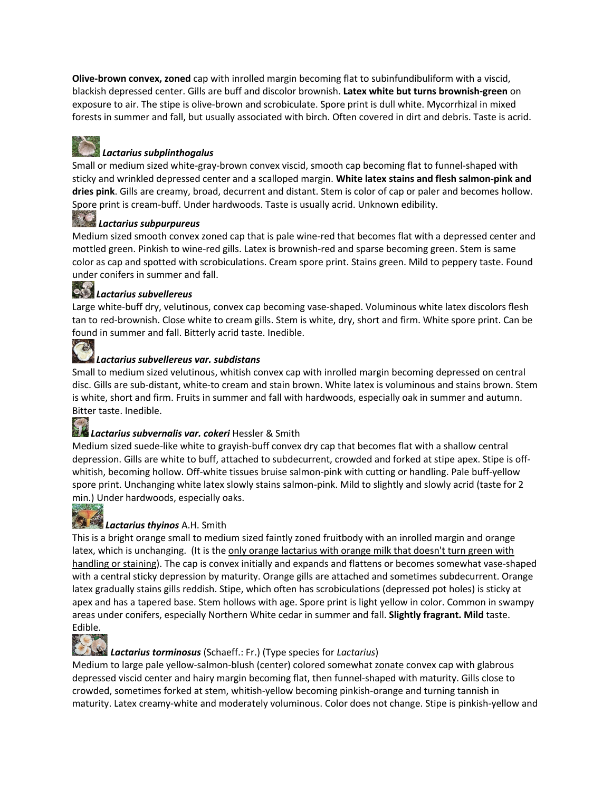**Olive-brown convex, zoned** cap with inrolled margin becoming flat to subinfundibuliform with a viscid, blackish depressed center. Gills are buff and discolor brownish. **Latex white but turns brownish-green** on exposure to air. The stipe is olive-brown and scrobiculate. Spore print is dull white. Mycorrhizal in mixed forests in summer and fall, but usually associated with birch. Often covered in dirt and debris. Taste is acrid.

### *Lactarius subplinthogalus*

Small or medium sized white-gray-brown convex viscid, smooth cap becoming flat to funnel-shaped with sticky and wrinkled depressed center and a scalloped margin. **White latex stains and flesh salmon-pink and dries pink**. Gills are creamy, broad, decurrent and distant. Stem is color of cap or paler and becomes hollow. Spore print is cream-buff. Under hardwoods. Taste is usually acrid. Unknown edibility.

## *Lactarius subpurpureus*

Medium sized smooth convex zoned cap that is pale wine-red that becomes flat with a depressed center and mottled green. Pinkish to wine-red gills. Latex is brownish-red and sparse becoming green. Stem is same color as cap and spotted with scrobiculations. Cream spore print. Stains green. Mild to peppery taste. Found under conifers in summer and fall.

## *Lactarius subvellereus*

Large white-buff dry, velutinous, convex cap becoming vase-shaped. Voluminous white latex discolors flesh tan to red-brownish. Close white to cream gills. Stem is white, dry, short and firm. White spore print. Can be found in summer and fall. Bitterly acrid taste. Inedible.

#### *Lactarius subvellereus var. subdistans*

Small to medium sized velutinous, whitish convex cap with inrolled margin becoming depressed on central disc. Gills are sub-distant, white-to cream and stain brown. White latex is voluminous and stains brown. Stem is white, short and firm. Fruits in summer and fall with hardwoods, especially oak in summer and autumn. Bitter taste. Inedible.

#### *Lactarius subvernalis var. cokeri* Hessler & Smith

Medium sized suede-like white to grayish-buff convex dry cap that becomes flat with a shallow central depression. Gills are white to buff, attached to subdecurrent, crowded and forked at stipe apex. Stipe is offwhitish, becoming hollow. Off-white tissues bruise salmon-pink with cutting or handling. Pale buff-yellow spore print. Unchanging white latex slowly stains salmon-pink. Mild to slightly and slowly acrid (taste for 2 min.) Under hardwoods, especially oaks.

## **SALAT**

TA

## *Lactarius thyinos* A.H. Smith

This is a bright orange small to medium sized faintly zoned fruitbody with an inrolled margin and orange latex, which is unchanging. (It is the only orange lactarius with orange milk that doesn't turn green with handling or staining). The cap is convex initially and expands and flattens or becomes somewhat vase-shaped with a central sticky depression by maturity. Orange gills are attached and sometimes subdecurrent. Orange latex gradually stains gills reddish. Stipe, which often has scrobiculations (depressed pot holes) is sticky at apex and has a tapered base. Stem hollows with age. Spore print is light yellow in color. Common in swampy areas under conifers, especially Northern White cedar in summer and fall. **Slightly fragrant. Mild** taste. Edible.



#### *Lactarius torminosus* (Schaeff.: Fr.) (Type species for *Lactarius*)

Medium to large pale yellow-salmon-blush (center) colored somewhat zonate convex cap with glabrous depressed viscid center and hairy margin becoming flat, then funnel-shaped with maturity. Gills close to crowded, sometimes forked at stem, whitish-yellow becoming pinkish-orange and turning tannish in maturity. Latex creamy-white and moderately voluminous. Color does not change. Stipe is pinkish-yellow and